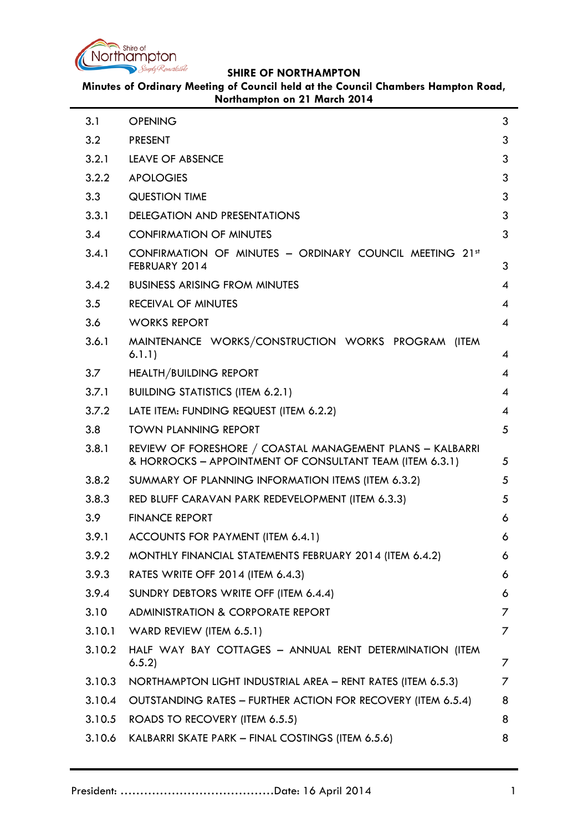

**SHIRE OF NORTHAMPTON**

**Minutes of Ordinary Meeting of Council held at the Council Chambers Hampton Road, Northampton on 21 March 2014**

| 3.1    | <b>OPENING</b>                                                                                                        | 3 |
|--------|-----------------------------------------------------------------------------------------------------------------------|---|
| 3.2    | <b>PRESENT</b>                                                                                                        | 3 |
| 3.2.1  | LEAVE OF ABSENCE                                                                                                      | 3 |
| 3.2.2  | <b>APOLOGIES</b>                                                                                                      | 3 |
| 3.3    | <b>QUESTION TIME</b>                                                                                                  | 3 |
| 3.3.1  | <b>DELEGATION AND PRESENTATIONS</b>                                                                                   | 3 |
| 3.4    | <b>CONFIRMATION OF MINUTES</b>                                                                                        | 3 |
| 3.4.1  | CONFIRMATION OF MINUTES - ORDINARY COUNCIL MEETING 21st<br>FEBRUARY 2014                                              | 3 |
| 3.4.2  | <b>BUSINESS ARISING FROM MINUTES</b>                                                                                  | 4 |
| 3.5    | <b>RECEIVAL OF MINUTES</b>                                                                                            | 4 |
| 3.6    | <b>WORKS REPORT</b>                                                                                                   | 4 |
| 3.6.1  | MAINTENANCE WORKS/CONSTRUCTION WORKS PROGRAM (ITEM<br>6.1.1)                                                          | 4 |
| 3.7    | <b>HEALTH/BUILDING REPORT</b>                                                                                         | 4 |
| 3.7.1  | <b>BUILDING STATISTICS (ITEM 6.2.1)</b>                                                                               | 4 |
| 3.7.2  | LATE ITEM: FUNDING REQUEST (ITEM 6.2.2)                                                                               | 4 |
| 3.8    | <b>TOWN PLANNING REPORT</b>                                                                                           | 5 |
| 3.8.1  | REVIEW OF FORESHORE / COASTAL MANAGEMENT PLANS - KALBARRI<br>& HORROCKS - APPOINTMENT OF CONSULTANT TEAM (ITEM 6.3.1) | 5 |
| 3.8.2  | SUMMARY OF PLANNING INFORMATION ITEMS (ITEM 6.3.2)                                                                    | 5 |
| 3.8.3  | RED BLUFF CARAVAN PARK REDEVELOPMENT (ITEM 6.3.3)                                                                     | 5 |
| 3.9    | <b>FINANCE REPORT</b>                                                                                                 | 6 |
| 3.9.1  | ACCOUNTS FOR PAYMENT (ITEM 6.4.1)                                                                                     | 6 |
| 3.9.2  | MONTHLY FINANCIAL STATEMENTS FEBRUARY 2014 (ITEM 6.4.2)                                                               | 6 |
| 3.9.3  | RATES WRITE OFF 2014 (ITEM 6.4.3)                                                                                     | 6 |
| 3.9.4  | SUNDRY DEBTORS WRITE OFF (ITEM 6.4.4)                                                                                 | 6 |
| 3.10   | ADMINISTRATION & CORPORATE REPORT                                                                                     | 7 |
| 3.10.1 | WARD REVIEW (ITEM 6.5.1)                                                                                              | 7 |
| 3.10.2 | HALF WAY BAY COTTAGES - ANNUAL RENT DETERMINATION (ITEM<br>6.5.2)                                                     | 7 |
| 3.10.3 | NORTHAMPTON LIGHT INDUSTRIAL AREA - RENT RATES (ITEM 6.5.3)                                                           | 7 |
| 3.10.4 | OUTSTANDING RATES - FURTHER ACTION FOR RECOVERY (ITEM 6.5.4)                                                          | 8 |
| 3.10.5 | ROADS TO RECOVERY (ITEM 6.5.5)                                                                                        | 8 |
| 3.10.6 | KALBARRI SKATE PARK – FINAL COSTINGS (ITEM 6.5.6)                                                                     | 8 |
|        |                                                                                                                       |   |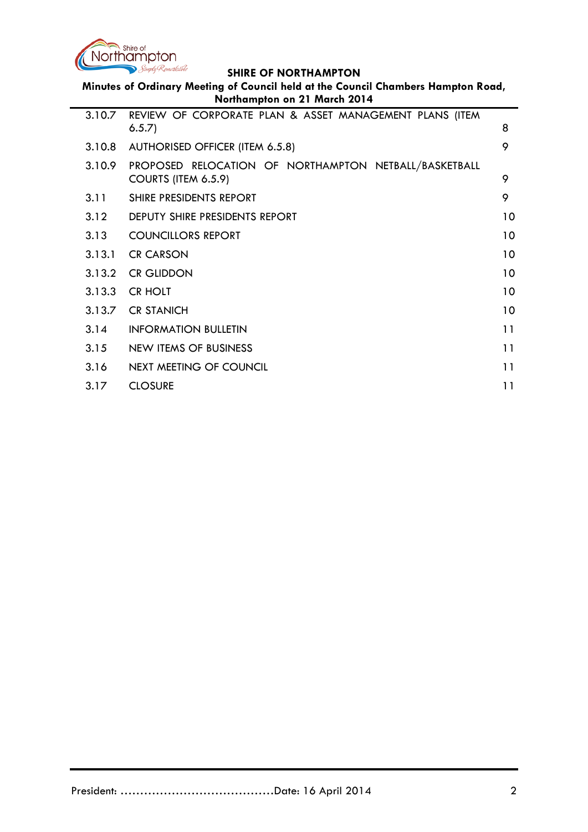

Simply Remarkable **SHIRE OF NORTHAMPTON Minutes of Ordinary Meeting of Council held at the Council Chambers Hampton Road, Northampton on 21 March 2014** 3.10.7 [REVIEW OF CORPORATE PLAN & ASSET MANAGEMENT PLANS \(ITEM](#page-7-3)  [6.5.7\)](#page-7-3) 8 3.10.8 [AUTHORISED OFFICER \(ITEM 6.5.8\)](#page-8-0) 9 3.10.9 [PROPOSED RELOCATION OF NORTHAMPTON NETBALL/BASKETBALL](#page-8-1)  [COURTS \(ITEM 6.5.9\)](#page-8-1) 9 3.11 [SHIRE PRESIDENTS REPORT](#page-8-2) 9 3.12 [DEPUTY SHIRE PRESIDENTS REPORT](#page-9-0) 10 3.13 [COUNCILLORS REPORT](#page-9-1) 10 **3.13.1 [CR CARSON](#page-9-2)** 10 3.13.2 [CR GLIDDON](#page-9-3) 10 3.13.3 [CR HOLT](#page-9-4) 10 3.13.7 [CR STANICH](#page-9-5) 10 3.14 [INFORMATION BULLETIN](#page-10-0) 11 3.15 [NEW ITEMS OF BUSINESS](#page-10-1) 11 NOTES 11 3.16 [NEXT MEETING OF COUNCIL](#page-10-2) **11** 

3.17 [CLOSURE](#page-10-3) 11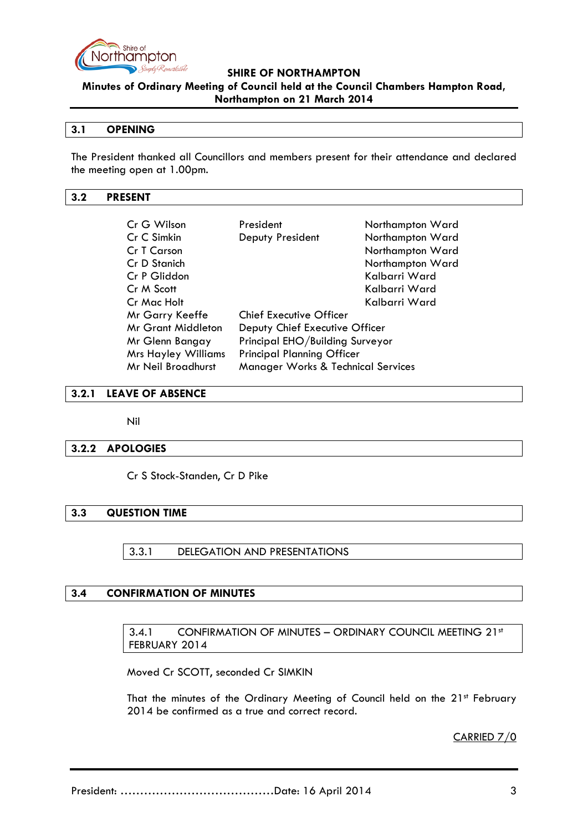

### **SHIRE OF NORTHAMPTON**

**Minutes of Ordinary Meeting of Council held at the Council Chambers Hampton Road,** 

### **Northampton on 21 March 2014**

### <span id="page-2-0"></span>**3.1 OPENING**

The President thanked all Councillors and members present for their attendance and declared the meeting open at 1.00pm.

#### <span id="page-2-1"></span>**3.2 PRESENT**

| Cr G Wilson                                                     | President                                     | Northampton Ward |  |
|-----------------------------------------------------------------|-----------------------------------------------|------------------|--|
| Cr C Simkin                                                     | Deputy President                              | Northampton Ward |  |
| Cr T Carson                                                     |                                               | Northampton Ward |  |
| Cr D Stanich                                                    |                                               | Northampton Ward |  |
| Cr P Gliddon                                                    |                                               | Kalbarri Ward    |  |
| Cr M Scott                                                      |                                               | Kalbarri Ward    |  |
| Cr Mac Holt                                                     |                                               | Kalbarri Ward    |  |
| Mr Garry Keeffe                                                 | <b>Chief Executive Officer</b>                |                  |  |
| <b>Mr Grant Middleton</b>                                       | Deputy Chief Executive Officer                |                  |  |
| Principal EHO/Building Surveyor<br>Mr Glenn Bangay              |                                               |                  |  |
| <b>Principal Planning Officer</b><br><b>Mrs Hayley Williams</b> |                                               |                  |  |
| Mr Neil Broadhurst                                              | <b>Manager Works &amp; Technical Services</b> |                  |  |

#### <span id="page-2-2"></span>**3.2.1 LEAVE OF ABSENCE**

Nil

# <span id="page-2-3"></span>**3.2.2 APOLOGIES**

Cr S Stock-Standen, Cr D Pike

### <span id="page-2-5"></span><span id="page-2-4"></span>**3.3 QUESTION TIME**

3.3.1 DELEGATION AND PRESENTATIONS

#### <span id="page-2-7"></span><span id="page-2-6"></span>**3.4 CONFIRMATION OF MINUTES**

3.4.1 CONFIRMATION OF MINUTES - ORDINARY COUNCIL MEETING 21st FEBRUARY 2014

Moved Cr SCOTT, seconded Cr SIMKIN

That the minutes of the Ordinary Meeting of Council held on the 21<sup>st</sup> February 2014 be confirmed as a true and correct record.

CARRIED 7/0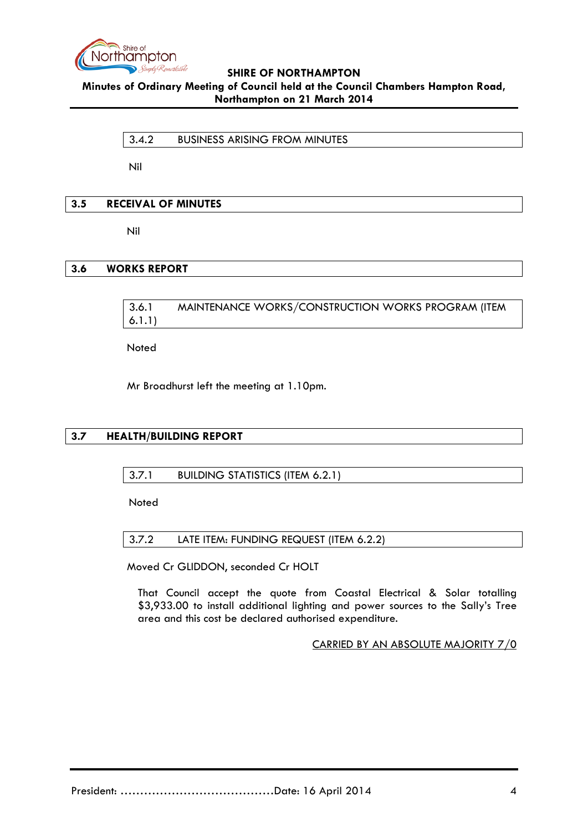

<span id="page-3-0"></span>3.4.2 BUSINESS ARISING FROM MINUTES

Nil

# <span id="page-3-1"></span>**3.5 RECEIVAL OF MINUTES**

Nil

# <span id="page-3-3"></span><span id="page-3-2"></span>**3.6 WORKS REPORT**

3.6.1 MAINTENANCE WORKS/CONSTRUCTION WORKS PROGRAM (ITEM 6.1.1)

Noted

Mr Broadhurst left the meeting at 1.10pm.

# <span id="page-3-5"></span><span id="page-3-4"></span>**3.7 HEALTH/BUILDING REPORT**

# 3.7.1 BUILDING STATISTICS (ITEM 6.2.1)

Noted

<span id="page-3-6"></span>3.7.2 LATE ITEM: FUNDING REQUEST (ITEM 6.2.2)

Moved Cr GLIDDON, seconded Cr HOLT

That Council accept the quote from Coastal Electrical & Solar totalling \$3,933.00 to install additional lighting and power sources to the Sally's Tree area and this cost be declared authorised expenditure.

CARRIED BY AN ABSOLUTE MAJORITY 7/0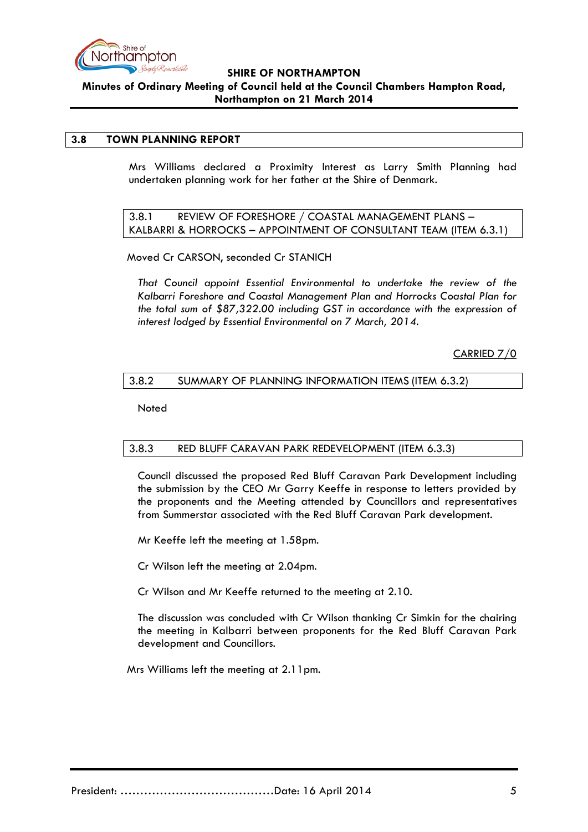

#### <span id="page-4-0"></span>**3.8 TOWN PLANNING REPORT**

Mrs Williams declared a Proximity Interest as Larry Smith Planning had undertaken planning work for her father at the Shire of Denmark.

<span id="page-4-1"></span>3.8.1 REVIEW OF FORESHORE / COASTAL MANAGEMENT PLANS – KALBARRI & HORROCKS – APPOINTMENT OF CONSULTANT TEAM (ITEM 6.3.1)

Moved Cr CARSON, seconded Cr STANICH

*That Council appoint Essential Environmental to undertake the review of the Kalbarri Foreshore and Coastal Management Plan and Horrocks Coastal Plan for the total sum of \$87,322.00 including GST in accordance with the expression of interest lodged by Essential Environmental on 7 March, 2014.*

CARRIED 7/0

### <span id="page-4-2"></span>3.8.2 SUMMARY OF PLANNING INFORMATION ITEMS (ITEM 6.3.2)

Noted

#### <span id="page-4-3"></span>3.8.3 RED BLUFF CARAVAN PARK REDEVELOPMENT (ITEM 6.3.3)

Council discussed the proposed Red Bluff Caravan Park Development including the submission by the CEO Mr Garry Keeffe in response to letters provided by the proponents and the Meeting attended by Councillors and representatives from Summerstar associated with the Red Bluff Caravan Park development.

Mr Keeffe left the meeting at 1.58pm.

Cr Wilson left the meeting at 2.04pm.

Cr Wilson and Mr Keeffe returned to the meeting at 2.10.

The discussion was concluded with Cr Wilson thanking Cr Simkin for the chairing the meeting in Kalbarri between proponents for the Red Bluff Caravan Park development and Councillors.

Mrs Williams left the meeting at 2.11pm.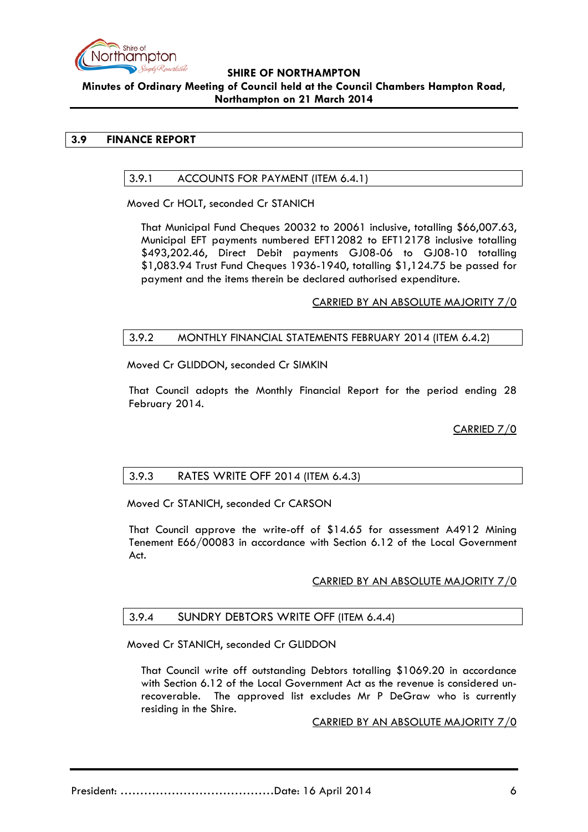

### <span id="page-5-1"></span><span id="page-5-0"></span>**3.9 FINANCE REPORT**

### 3.9.1 ACCOUNTS FOR PAYMENT (ITEM 6.4.1)

Moved Cr HOLT, seconded Cr STANICH

That Municipal Fund Cheques 20032 to 20061 inclusive, totalling \$66,007.63, Municipal EFT payments numbered EFT12082 to EFT12178 inclusive totalling \$493,202.46, Direct Debit payments GJ08-06 to GJ08-10 totalling \$1,083.94 Trust Fund Cheques 1936-1940, totalling \$1,124.75 be passed for payment and the items therein be declared authorised expenditure.

CARRIED BY AN ABSOLUTE MAJORITY 7/0

### <span id="page-5-2"></span>3.9.2 MONTHLY FINANCIAL STATEMENTS FEBRUARY 2014 (ITEM 6.4.2)

Moved Cr GLIDDON, seconded Cr SIMKIN

That Council adopts the Monthly Financial Report for the period ending 28 February 2014.

CARRIED 7/0

# <span id="page-5-3"></span>3.9.3 RATES WRITE OFF 2014 (ITEM 6.4.3)

Moved Cr STANICH, seconded Cr CARSON

That Council approve the write-off of \$14.65 for assessment A4912 Mining Tenement E66/00083 in accordance with Section 6.12 of the Local Government Act.

# CARRIED BY AN ABSOLUTE MAJORITY 7/0

# <span id="page-5-4"></span>3.9.4 SUNDRY DEBTORS WRITE OFF (ITEM 6.4.4)

Moved Cr STANICH, seconded Cr GLIDDON

That Council write off outstanding Debtors totalling \$1069.20 in accordance with Section 6.12 of the Local Government Act as the revenue is considered unrecoverable. The approved list excludes Mr P DeGraw who is currently residing in the Shire.

CARRIED BY AN ABSOLUTE MAJORITY 7/0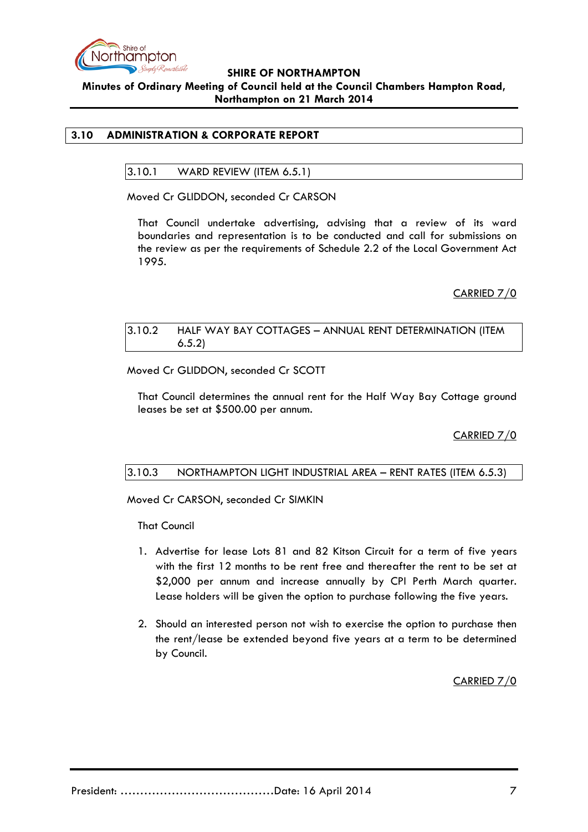

# <span id="page-6-1"></span><span id="page-6-0"></span>**3.10 ADMINISTRATION & CORPORATE REPORT**

3.10.1 WARD REVIEW (ITEM 6.5.1)

Moved Cr GLIDDON, seconded Cr CARSON

That Council undertake advertising, advising that a review of its ward boundaries and representation is to be conducted and call for submissions on the review as per the requirements of Schedule 2.2 of the Local Government Act 1995.

CARRIED 7/0

<span id="page-6-2"></span>

| 3.10.2 | HALF WAY BAY COTTAGES - ANNUAL RENT DETERMINATION (ITEM |
|--------|---------------------------------------------------------|
|        | 6.5.2)                                                  |

Moved Cr GLIDDON, seconded Cr SCOTT

That Council determines the annual rent for the Half Way Bay Cottage ground leases be set at \$500.00 per annum.

CARRIED 7/0

#### <span id="page-6-3"></span>3.10.3 NORTHAMPTON LIGHT INDUSTRIAL AREA – RENT RATES (ITEM 6.5.3)

Moved Cr CARSON, seconded Cr SIMKIN

That Council

- 1. Advertise for lease Lots 81 and 82 Kitson Circuit for a term of five years with the first 12 months to be rent free and thereafter the rent to be set at \$2,000 per annum and increase annually by CPI Perth March quarter. Lease holders will be given the option to purchase following the five years.
- 2. Should an interested person not wish to exercise the option to purchase then the rent/lease be extended beyond five years at a term to be determined by Council.

CARRIED 7/0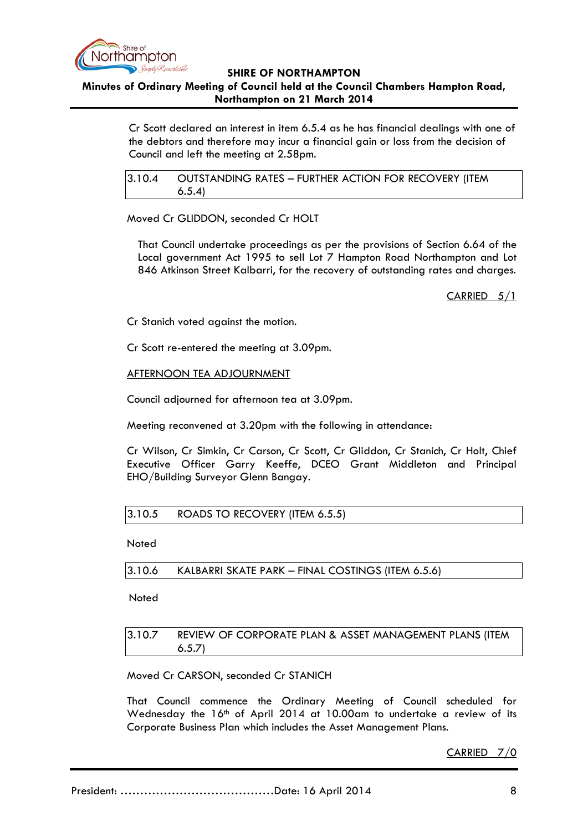

#### **SHIRE OF NORTHAMPTON**

### **Minutes of Ordinary Meeting of Council held at the Council Chambers Hampton Road, Northampton on 21 March 2014**

Cr Scott declared an interest in item 6.5.4 as he has financial dealings with one of the debtors and therefore may incur a financial gain or loss from the decision of Council and left the meeting at 2.58pm.

<span id="page-7-0"></span>3.10.4 OUTSTANDING RATES – FURTHER ACTION FOR RECOVERY (ITEM 6.5.4)

Moved Cr GLIDDON, seconded Cr HOLT

That Council undertake proceedings as per the provisions of Section 6.64 of the Local government Act 1995 to sell Lot 7 Hampton Road Northampton and Lot 846 Atkinson Street Kalbarri, for the recovery of outstanding rates and charges.

CARRIED 5/1

Cr Stanich voted against the motion.

Cr Scott re-entered the meeting at 3.09pm.

AFTERNOON TEA ADJOURNMENT

Council adjourned for afternoon tea at 3.09pm.

Meeting reconvened at 3.20pm with the following in attendance:

Cr Wilson, Cr Simkin, Cr Carson, Cr Scott, Cr Gliddon, Cr Stanich, Cr Holt, Chief Executive Officer Garry Keeffe, DCEO Grant Middleton and Principal EHO/Building Surveyor Glenn Bangay.

# <span id="page-7-1"></span>3.10.5 ROADS TO RECOVERY (ITEM 6.5.5)

**Noted** 

<span id="page-7-2"></span>3.10.6 KALBARRI SKATE PARK – FINAL COSTINGS (ITEM 6.5.6)

Noted

# <span id="page-7-3"></span>3.10.7 REVIEW OF CORPORATE PLAN & ASSET MANAGEMENT PLANS (ITEM 6.5.7)

# Moved Cr CARSON, seconded Cr STANICH

That Council commence the Ordinary Meeting of Council scheduled for Wednesday the 16<sup>th</sup> of April 2014 at 10.00am to undertake a review of its Corporate Business Plan which includes the Asset Management Plans.

CARRIED 7/0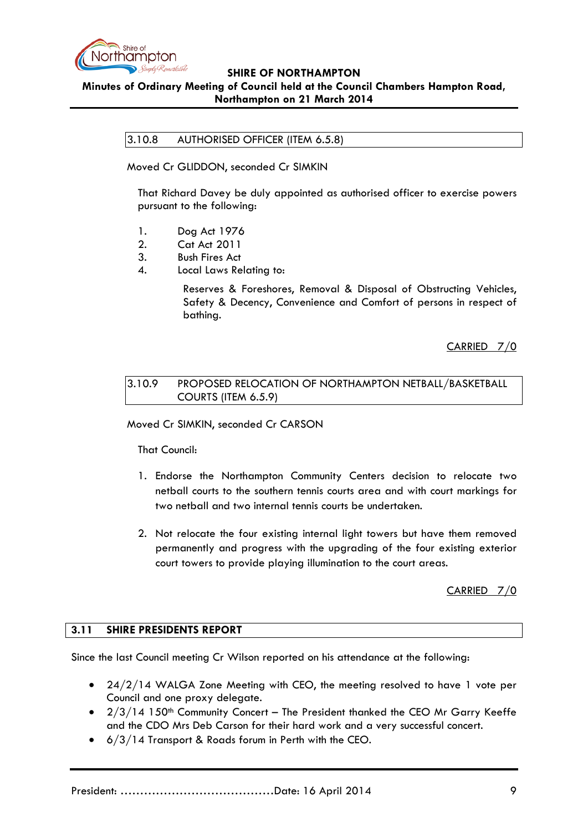

<span id="page-8-0"></span>3.10.8 AUTHORISED OFFICER (ITEM 6.5.8)

Moved Cr GLIDDON, seconded Cr SIMKIN

That Richard Davey be duly appointed as authorised officer to exercise powers pursuant to the following:

- 1. Dog Act 1976
- 2. Cat Act 2011
- 3. Bush Fires Act
- 4. Local Laws Relating to:

Reserves & Foreshores, Removal & Disposal of Obstructing Vehicles, Safety & Decency, Convenience and Comfort of persons in respect of bathing.

CARRIED 7/0

# <span id="page-8-1"></span>3.10.9 PROPOSED RELOCATION OF NORTHAMPTON NETBALL/BASKETBALL COURTS (ITEM 6.5.9)

Moved Cr SIMKIN, seconded Cr CARSON

That Council:

- 1. Endorse the Northampton Community Centers decision to relocate two netball courts to the southern tennis courts area and with court markings for two netball and two internal tennis courts be undertaken.
- 2. Not relocate the four existing internal light towers but have them removed permanently and progress with the upgrading of the four existing exterior court towers to provide playing illumination to the court areas.

CARRIED 7/0

# <span id="page-8-2"></span>**3.11 SHIRE PRESIDENTS REPORT**

Since the last Council meeting Cr Wilson reported on his attendance at the following:

- $24/2/14$  WALGA Zone Meeting with CEO, the meeting resolved to have 1 vote per Council and one proxy delegate.
- $2/3/14$  150<sup>th</sup> Community Concert The President thanked the CEO Mr Garry Keeffe and the CDO Mrs Deb Carson for their hard work and a very successful concert.
- 6/3/14 Transport & Roads forum in Perth with the CEO.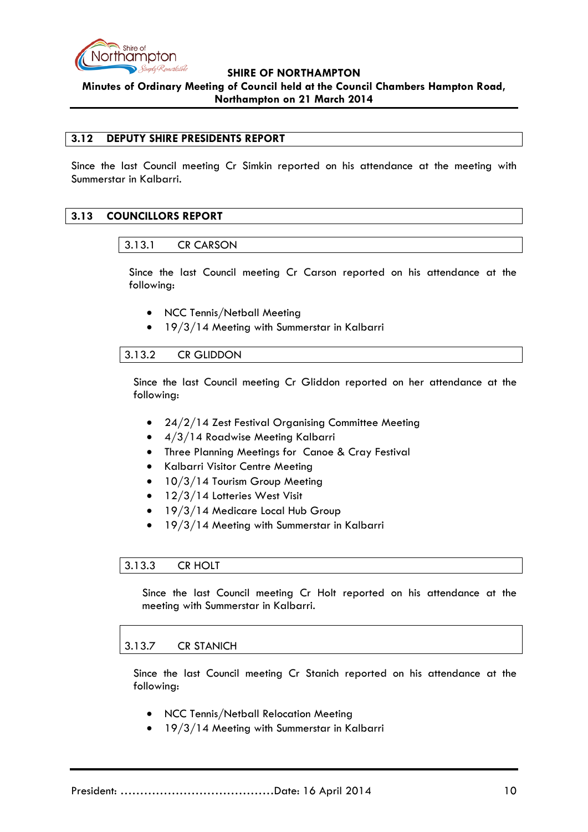

#### <span id="page-9-0"></span>**3.12 DEPUTY SHIRE PRESIDENTS REPORT**

Since the last Council meeting Cr Simkin reported on his attendance at the meeting with Summerstar in Kalbarri.

### <span id="page-9-2"></span><span id="page-9-1"></span>**3.13 COUNCILLORS REPORT**

#### 3.13.1 CR CARSON

Since the last Council meeting Cr Carson reported on his attendance at the following:

- NCC Tennis/Netball Meeting
- 19/3/14 Meeting with Summerstar in Kalbarri

### <span id="page-9-3"></span>3.13.2 CR GLIDDON

Since the last Council meeting Cr Gliddon reported on her attendance at the following:

- 24/2/14 Zest Festival Organising Committee Meeting
- 4/3/14 Roadwise Meeting Kalbarri
- Three Planning Meetings for Canoe & Cray Festival
- Kalbarri Visitor Centre Meeting
- 10/3/14 Tourism Group Meeting
- 12/3/14 Lotteries West Visit
- 19/3/14 Medicare Local Hub Group
- 19/3/14 Meeting with Summerstar in Kalbarri

#### <span id="page-9-4"></span>3.13.3 CR HOLT

Since the last Council meeting Cr Holt reported on his attendance at the meeting with Summerstar in Kalbarri.

#### <span id="page-9-5"></span>3.13.7 CR STANICH

Since the last Council meeting Cr Stanich reported on his attendance at the following:

- NCC Tennis/Netball Relocation Meeting
- 19/3/14 Meeting with Summerstar in Kalbarri